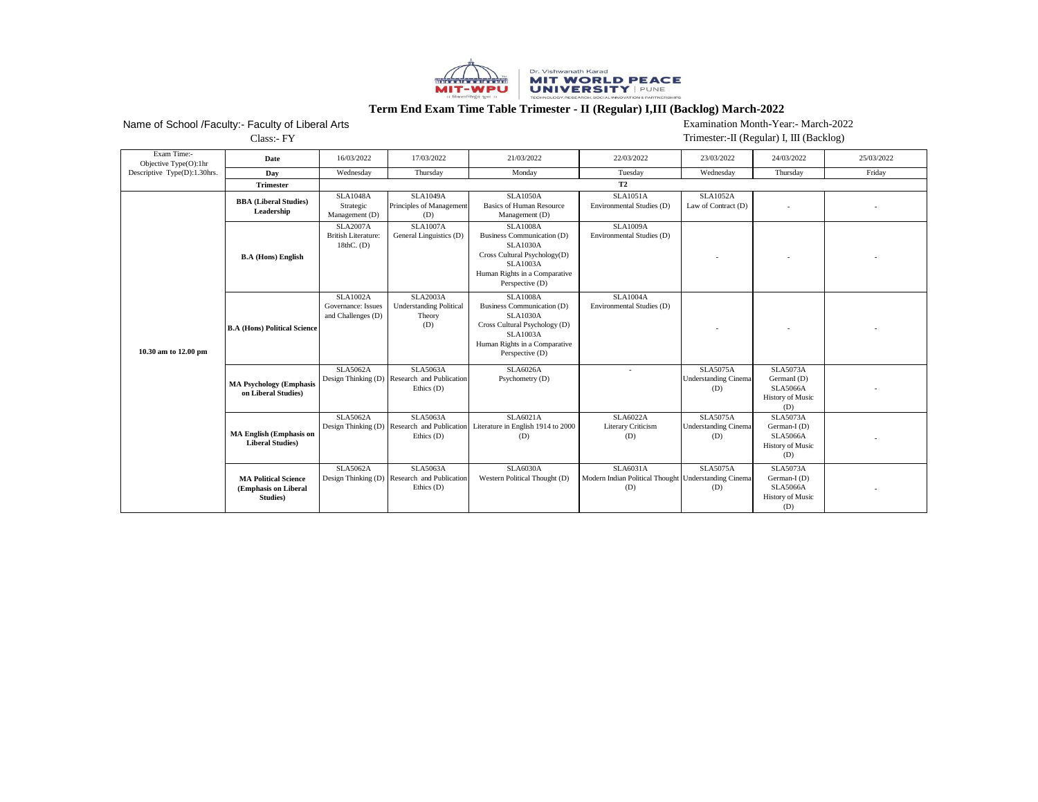

## **Term End Exam Time Table Trimester - II (Regular) I,III (Backlog) March-2022**

## Name of School /Faculty:- Faculty of Liberal Arts

Examination Month-Year:- March-2022

Class:- FY

Trimester:-II (Regular) I, III (Backlog)

| Exam Time:-<br>Objective Type(O):1hr | Date                                                            | 16/03/2022                                                     | 17/03/2022                                                                      | 21/03/2022                                                                                                                                                               | 22/03/2022                                                                     | 23/03/2022                                            | 24/03/2022                                                                           | 25/03/2022 |
|--------------------------------------|-----------------------------------------------------------------|----------------------------------------------------------------|---------------------------------------------------------------------------------|--------------------------------------------------------------------------------------------------------------------------------------------------------------------------|--------------------------------------------------------------------------------|-------------------------------------------------------|--------------------------------------------------------------------------------------|------------|
| Descriptive Type(D):1.30hrs.         | Day                                                             | Wednesday                                                      | Thursday                                                                        | Monday                                                                                                                                                                   | Tuesday                                                                        | Wednesday                                             | Thursday                                                                             | Friday     |
|                                      | <b>Trimester</b>                                                |                                                                |                                                                                 |                                                                                                                                                                          | <b>T2</b>                                                                      |                                                       |                                                                                      |            |
| 10.30 am to 12.00 pm                 | <b>BBA</b> (Liberal Studies)<br>Leadership                      | <b>SLA1048A</b><br>Strategic<br>Management (D)                 | <b>SLA1049A</b><br>Principles of Management<br>(D)                              | <b>SLA1050A</b><br><b>Basics of Human Resource</b><br>Management (D)                                                                                                     | <b>SLA1051A</b><br>Environmental Studies (D)                                   | <b>SLA1052A</b><br>Law of Contract (D)                |                                                                                      |            |
|                                      | <b>B.A</b> (Hons) English                                       | <b>SLA2007A</b><br><b>British Literature:</b><br>18th $C.$ (D) | <b>SLA1007A</b><br>General Linguistics (D)                                      | <b>SLA1008A</b><br>Business Communication (D)<br><b>SLA1030A</b><br>Cross Cultural Psychology(D)<br><b>SLA1003A</b><br>Human Rights in a Comparative<br>Perspective (D)  | <b>SLA1009A</b><br>Environmental Studies (D)                                   |                                                       |                                                                                      |            |
|                                      | <b>B.A (Hons) Political Science</b>                             | <b>SLA1002A</b><br>Governance: Issues<br>and Challenges (D)    | <b>SLA2003A</b><br><b>Understanding Political</b><br>Theory<br>(D)              | <b>SLA1008A</b><br>Business Communication (D)<br><b>SLA1030A</b><br>Cross Cultural Psychology (D)<br><b>SLA1003A</b><br>Human Rights in a Comparative<br>Perspective (D) | <b>SLA1004A</b><br>Environmental Studies (D)                                   |                                                       |                                                                                      |            |
|                                      | <b>MA Psychology (Emphasis</b><br>on Liberal Studies)           | <b>SLA5062A</b>                                                | <b>SLA5063A</b><br>Design Thinking (D) Research and Publication<br>Ethics $(D)$ | <b>SLA6026A</b><br>Psychometry (D)                                                                                                                                       | $\overline{a}$                                                                 | <b>SLA5075A</b><br><b>Understanding Cinema</b><br>(D) | <b>SLA5073A</b><br>GermanI (D)<br><b>SLA5066A</b><br><b>History of Music</b><br>(D)  |            |
|                                      | <b>MA English (Emphasis on</b><br><b>Liberal Studies)</b>       | <b>SLA5062A</b>                                                | <b>SLA5063A</b><br>Design Thinking (D) Research and Publication<br>Ethics (D)   | SLA6021A<br>Literature in English 1914 to 2000<br>(D)                                                                                                                    | SLA6022A<br>Literary Criticism<br>(D)                                          | <b>SLA5075A</b><br><b>Understanding Cinema</b><br>(D) | <b>SLA5073A</b><br>German-I (D)<br><b>SLA5066A</b><br><b>History of Music</b><br>(D) |            |
|                                      | <b>MA Political Science</b><br>(Emphasis on Liberal<br>Studies) | <b>SLA5062A</b>                                                | <b>SLA5063A</b><br>Design Thinking (D) Research and Publication<br>Ethics $(D)$ | <b>SLA6030A</b><br>Western Political Thought (D)                                                                                                                         | <b>SLA6031A</b><br>Modern Indian Political Thought Understanding Cinema<br>(D) | <b>SLA5075A</b><br>(D)                                | <b>SLA5073A</b><br>German-I (D)<br><b>SLA5066A</b><br><b>History of Music</b><br>(D) |            |